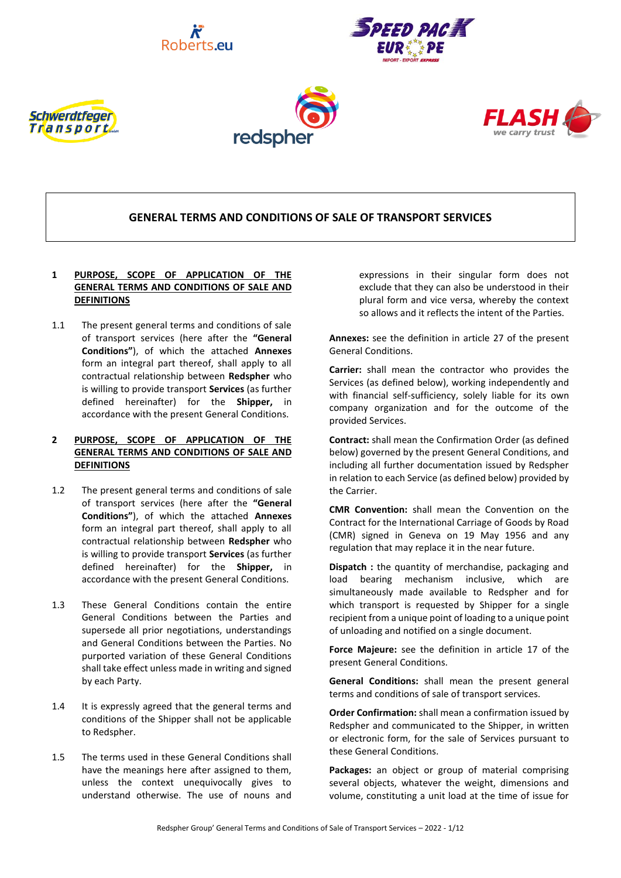









# **GENERAL TERMS AND CONDITIONS OF SALE OF TRANSPORT SERVICES**

# **1 PURPOSE, SCOPE OF APPLICATION OF THE GENERAL TERMS AND CONDITIONS OF SALE AND DEFINITIONS**

1.1 The present general terms and conditions of sale of transport services (here after the **"General Conditions"**), of which the attached **Annexes** form an integral part thereof, shall apply to all contractual relationship between **Redspher** who is willing to provide transport **Services** (as further defined hereinafter) for the **Shipper,** in accordance with the present General Conditions.

# **2 PURPOSE, SCOPE OF APPLICATION OF THE GENERAL TERMS AND CONDITIONS OF SALE AND DEFINITIONS**

- 1.2 The present general terms and conditions of sale of transport services (here after the **"General Conditions"**), of which the attached **Annexes** form an integral part thereof, shall apply to all contractual relationship between **Redspher** who is willing to provide transport **Services** (as further defined hereinafter) for the **Shipper,** in accordance with the present General Conditions.
- 1.3 These General Conditions contain the entire General Conditions between the Parties and supersede all prior negotiations, understandings and General Conditions between the Parties. No purported variation of these General Conditions shall take effect unless made in writing and signed by each Party.
- 1.4 It is expressly agreed that the general terms and conditions of the Shipper shall not be applicable to Redspher.
- 1.5 The terms used in these General Conditions shall have the meanings here after assigned to them, unless the context unequivocally gives to understand otherwise. The use of nouns and

expressions in their singular form does not exclude that they can also be understood in their plural form and vice versa, whereby the context so allows and it reflects the intent of the Parties.

**Annexes:** see the definition in article [27](#page-5-0) of the present General Conditions.

**Carrier:** shall mean the contractor who provides the Services (as defined below), working independently and with financial self-sufficiency, solely liable for its own company organization and for the outcome of the provided Services.

**Contract:** shall mean the Confirmation Order (as defined below) governed by the present General Conditions, and including all further documentation issued by Redspher in relation to each Service (as defined below) provided by the Carrier.

**CMR Convention:** shall mean the Convention on the Contract for the International Carriage of Goods by Road (CMR) signed in Geneva on 19 May 1956 and any regulation that may replace it in the near future.

**Dispatch :** the quantity of merchandise, packaging and load bearing mechanism inclusive, which are simultaneously made available to Redspher and for which transport is requested by Shipper for a single recipient from a unique point of loading to a unique point of unloading and notified on a single document.

**Force Majeure:** see the definition in article [17](#page-4-0) of the present General Conditions.

**General Conditions:** shall mean the present general terms and conditions of sale of transport services.

**Order Confirmation:** shall mean a confirmation issued by Redspher and communicated to the Shipper, in written or electronic form, for the sale of Services pursuant to these General Conditions.

**Packages:** an object or group of material comprising several objects, whatever the weight, dimensions and volume, constituting a unit load at the time of issue for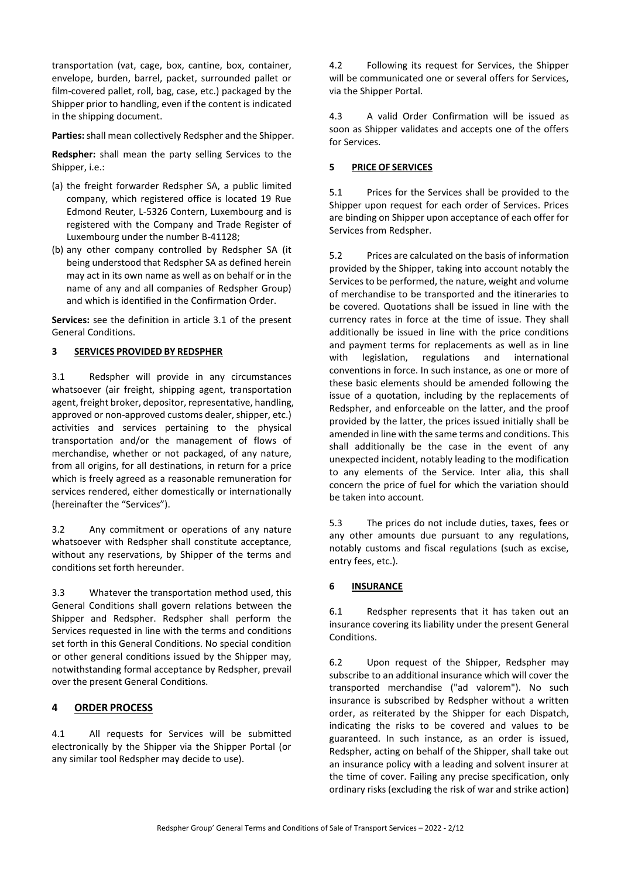transportation (vat, cage, box, cantine, box, container, envelope, burden, barrel, packet, surrounded pallet or film-covered pallet, roll, bag, case, etc.) packaged by the Shipper prior to handling, even if the content is indicated in the shipping document.

**Parties:** shall mean collectively Redspher and the Shipper.

**Redspher:** shall mean the party selling Services to the Shipper, i.e.:

- (a) the freight forwarder Redspher SA, a public limited company, which registered office is located 19 Rue Edmond Reuter, L-5326 Contern, Luxembourg and is registered with the Company and Trade Register of Luxembourg under the number B-41128;
- (b) any other company controlled by Redspher SA (it being understood that Redspher SA as defined herein may act in its own name as well as on behalf or in the name of any and all companies of Redspher Group) and which is identified in the Confirmation Order.

**Services:** see the definition in article [3.1](#page-1-0) of the present General Conditions.

### **3 SERVICES PROVIDED BY REDSPHER**

<span id="page-1-0"></span>3.1 Redspher will provide in any circumstances whatsoever (air freight, shipping agent, transportation agent, freight broker, depositor, representative, handling, approved or non-approved customs dealer, shipper, etc.) activities and services pertaining to the physical transportation and/or the management of flows of merchandise, whether or not packaged, of any nature, from all origins, for all destinations, in return for a price which is freely agreed as a reasonable remuneration for services rendered, either domestically or internationally (hereinafter the "Services").

3.2 Any commitment or operations of any nature whatsoever with Redspher shall constitute acceptance, without any reservations, by Shipper of the terms and conditions set forth hereunder.

3.3 Whatever the transportation method used, this General Conditions shall govern relations between the Shipper and Redspher. Redspher shall perform the Services requested in line with the terms and conditions set forth in this General Conditions. No special condition or other general conditions issued by the Shipper may, notwithstanding formal acceptance by Redspher, prevail over the present General Conditions.

## **4 ORDER PROCESS**

4.1 All requests for Services will be submitted electronically by the Shipper via the Shipper Portal (or any similar tool Redspher may decide to use).

4.2 Following its request for Services, the Shipper will be communicated one or several offers for Services, via the Shipper Portal.

4.3 A valid Order Confirmation will be issued as soon as Shipper validates and accepts one of the offers for Services.

## **5 PRICE OF SERVICES**

5.1 Prices for the Services shall be provided to the Shipper upon request for each order of Services. Prices are binding on Shipper upon acceptance of each offer for Services from Redspher.

5.2 Prices are calculated on the basis of information provided by the Shipper, taking into account notably the Services to be performed, the nature, weight and volume of merchandise to be transported and the itineraries to be covered. Quotations shall be issued in line with the currency rates in force at the time of issue. They shall additionally be issued in line with the price conditions and payment terms for replacements as well as in line with legislation, regulations and international conventions in force. In such instance, as one or more of these basic elements should be amended following the issue of a quotation, including by the replacements of Redspher, and enforceable on the latter, and the proof provided by the latter, the prices issued initially shall be amended in line with the same terms and conditions. This shall additionally be the case in the event of any unexpected incident, notably leading to the modification to any elements of the Service. Inter alia, this shall concern the price of fuel for which the variation should be taken into account.

5.3 The prices do not include duties, taxes, fees or any other amounts due pursuant to any regulations, notably customs and fiscal regulations (such as excise, entry fees, etc.).

## <span id="page-1-1"></span>**6 INSURANCE**

6.1 Redspher represents that it has taken out an insurance covering its liability under the present General Conditions.

6.2 Upon request of the Shipper, Redspher may subscribe to an additional insurance which will cover the transported merchandise ("ad valorem"). No such insurance is subscribed by Redspher without a written order, as reiterated by the Shipper for each Dispatch, indicating the risks to be covered and values to be guaranteed. In such instance, as an order is issued, Redspher, acting on behalf of the Shipper, shall take out an insurance policy with a leading and solvent insurer at the time of cover. Failing any precise specification, only ordinary risks (excluding the risk of war and strike action)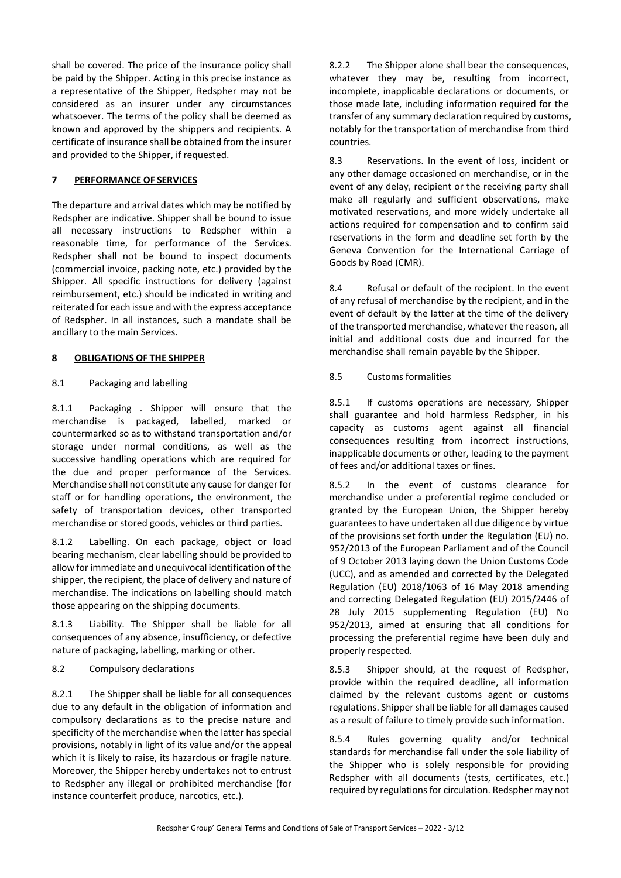shall be covered. The price of the insurance policy shall be paid by the Shipper. Acting in this precise instance as a representative of the Shipper, Redspher may not be considered as an insurer under any circumstances whatsoever. The terms of the policy shall be deemed as known and approved by the shippers and recipients. A certificate of insurance shall be obtained from the insurer and provided to the Shipper, if requested.

# **7 PERFORMANCE OF SERVICES**

The departure and arrival dates which may be notified by Redspher are indicative. Shipper shall be bound to issue all necessary instructions to Redspher within a reasonable time, for performance of the Services. Redspher shall not be bound to inspect documents (commercial invoice, packing note, etc.) provided by the Shipper. All specific instructions for delivery (against reimbursement, etc.) should be indicated in writing and reiterated for each issue and with the express acceptance of Redspher. In all instances, such a mandate shall be ancillary to the main Services.

## **8 OBLIGATIONS OF THE SHIPPER**

## 8.1 Packaging and labelling

8.1.1 Packaging . Shipper will ensure that the merchandise is packaged, labelled, marked or countermarked so as to withstand transportation and/or storage under normal conditions, as well as the successive handling operations which are required for the due and proper performance of the Services. Merchandise shall not constitute any cause for danger for staff or for handling operations, the environment, the safety of transportation devices, other transported merchandise or stored goods, vehicles or third parties.

8.1.2 Labelling. On each package, object or load bearing mechanism, clear labelling should be provided to allow for immediate and unequivocal identification of the shipper, the recipient, the place of delivery and nature of merchandise. The indications on labelling should match those appearing on the shipping documents.

8.1.3 Liability. The Shipper shall be liable for all consequences of any absence, insufficiency, or defective nature of packaging, labelling, marking or other.

# 8.2 Compulsory declarations

8.2.1 The Shipper shall be liable for all consequences due to any default in the obligation of information and compulsory declarations as to the precise nature and specificity of the merchandise when the latter has special provisions, notably in light of its value and/or the appeal which it is likely to raise, its hazardous or fragile nature. Moreover, the Shipper hereby undertakes not to entrust to Redspher any illegal or prohibited merchandise (for instance counterfeit produce, narcotics, etc.).

8.2.2 The Shipper alone shall bear the consequences, whatever they may be, resulting from incorrect, incomplete, inapplicable declarations or documents, or those made late, including information required for the transfer of any summary declaration required by customs, notably for the transportation of merchandise from third countries.

8.3 Reservations. In the event of loss, incident or any other damage occasioned on merchandise, or in the event of any delay, recipient or the receiving party shall make all regularly and sufficient observations, make motivated reservations, and more widely undertake all actions required for compensation and to confirm said reservations in the form and deadline set forth by the Geneva Convention for the International Carriage of Goods by Road (CMR).

8.4 Refusal or default of the recipient. In the event of any refusal of merchandise by the recipient, and in the event of default by the latter at the time of the delivery of the transported merchandise, whatever the reason, all initial and additional costs due and incurred for the merchandise shall remain payable by the Shipper.

### 8.5 Customs formalities

8.5.1 If customs operations are necessary, Shipper shall guarantee and hold harmless Redspher, in his capacity as customs agent against all financial consequences resulting from incorrect instructions, inapplicable documents or other, leading to the payment of fees and/or additional taxes or fines.

8.5.2 In the event of customs clearance for merchandise under a preferential regime concluded or granted by the European Union, the Shipper hereby guarantees to have undertaken all due diligence by virtue of the provisions set forth under the Regulation (EU) no. 952/2013 of the European Parliament and of the Council of 9 October 2013 laying down the Union Customs Code (UCC), and as amended and corrected by the Delegated Regulation (EU) 2018/1063 of 16 May 2018 amending and correcting Delegated Regulation (EU) 2015/2446 of 28 July 2015 supplementing Regulation (EU) No 952/2013, aimed at ensuring that all conditions for processing the preferential regime have been duly and properly respected.

8.5.3 Shipper should, at the request of Redspher, provide within the required deadline, all information claimed by the relevant customs agent or customs regulations. Shipper shall be liable for all damages caused as a result of failure to timely provide such information.

8.5.4 Rules governing quality and/or technical standards for merchandise fall under the sole liability of the Shipper who is solely responsible for providing Redspher with all documents (tests, certificates, etc.) required by regulations for circulation. Redspher may not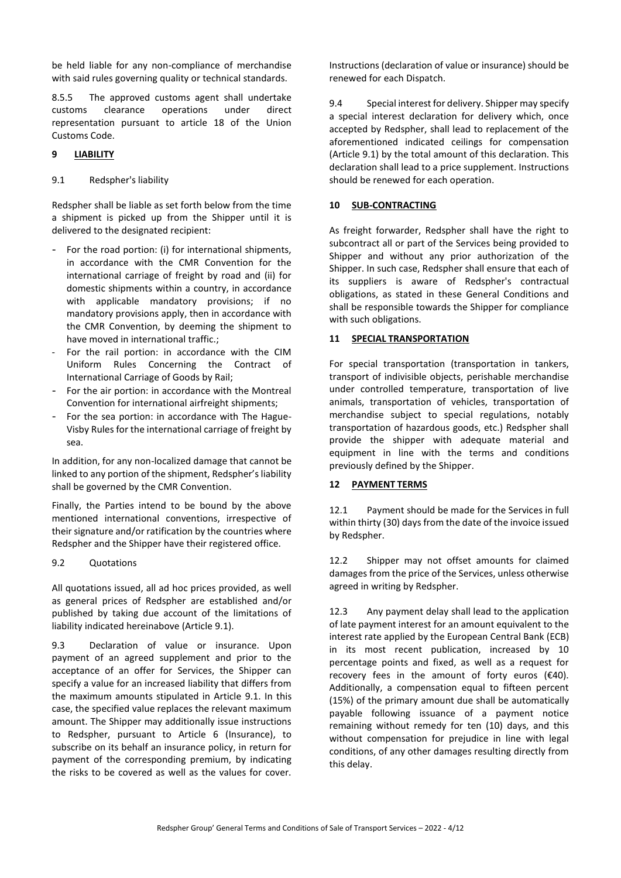be held liable for any non-compliance of merchandise with said rules governing quality or technical standards.

8.5.5 The approved customs agent shall undertake customs clearance operations under direct representation pursuant to article 18 of the Union Customs Code.

### **9 LIABILITY**

### <span id="page-3-0"></span>9.1 Redspher's liability

Redspher shall be liable as set forth below from the time a shipment is picked up from the Shipper until it is delivered to the designated recipient:

- For the road portion: (i) for international shipments, in accordance with the CMR Convention for the international carriage of freight by road and (ii) for domestic shipments within a country, in accordance with applicable mandatory provisions; if no mandatory provisions apply, then in accordance with the CMR Convention, by deeming the shipment to have moved in international traffic.;
- For the rail portion: in accordance with the CIM Uniform Rules Concerning the Contract of International Carriage of Goods by Rail;
- For the air portion: in accordance with the Montreal Convention for international airfreight shipments;
- For the sea portion: in accordance with The Hague-Visby Rules for the international carriage of freight by sea.

In addition, for any non-localized damage that cannot be linked to any portion of the shipment, Redspher's liability shall be governed by the CMR Convention.

Finally, the Parties intend to be bound by the above mentioned international conventions, irrespective of their signature and/or ratification by the countries where Redspher and the Shipper have their registered office.

#### 9.2 Quotations

All quotations issued, all ad hoc prices provided, as well as general prices of Redspher are established and/or published by taking due account of the limitations of liability indicated hereinabove (Article [9.1\)](#page-3-0).

9.3 Declaration of value or insurance. Upon payment of an agreed supplement and prior to the acceptance of an offer for Services, the Shipper can specify a value for an increased liability that differs from the maximum amounts stipulated in Article [9.1.](#page-3-0) In this case, the specified value replaces the relevant maximum amount. The Shipper may additionally issue instructions to Redspher, pursuant to Article [6](#page-1-1) (Insurance), to subscribe on its behalf an insurance policy, in return for payment of the corresponding premium, by indicating the risks to be covered as well as the values for cover.

Instructions (declaration of value or insurance) should be renewed for each Dispatch.

9.4 Special interest for delivery. Shipper may specify a special interest declaration for delivery which, once accepted by Redspher, shall lead to replacement of the aforementioned indicated ceilings for compensation (Articl[e 9.1\)](#page-3-0) by the total amount of this declaration. This declaration shall lead to a price supplement. Instructions should be renewed for each operation.

#### **10 SUB-CONTRACTING**

As freight forwarder, Redspher shall have the right to subcontract all or part of the Services being provided to Shipper and without any prior authorization of the Shipper. In such case, Redspher shall ensure that each of its suppliers is aware of Redspher's contractual obligations, as stated in these General Conditions and shall be responsible towards the Shipper for compliance with such obligations.

### **11 SPECIAL TRANSPORTATION**

For special transportation (transportation in tankers, transport of indivisible objects, perishable merchandise under controlled temperature, transportation of live animals, transportation of vehicles, transportation of merchandise subject to special regulations, notably transportation of hazardous goods, etc.) Redspher shall provide the shipper with adequate material and equipment in line with the terms and conditions previously defined by the Shipper.

## **12 PAYMENT TERMS**

12.1 Payment should be made for the Services in full within thirty (30) days from the date of the invoice issued by Redspher.

12.2 Shipper may not offset amounts for claimed damages from the price of the Services, unless otherwise agreed in writing by Redspher.

12.3 Any payment delay shall lead to the application of late payment interest for an amount equivalent to the interest rate applied by the European Central Bank (ECB) in its most recent publication, increased by 10 percentage points and fixed, as well as a request for recovery fees in the amount of forty euros ( $E$ 40). Additionally, a compensation equal to fifteen percent (15%) of the primary amount due shall be automatically payable following issuance of a payment notice remaining without remedy for ten (10) days, and this without compensation for prejudice in line with legal conditions, of any other damages resulting directly from this delay.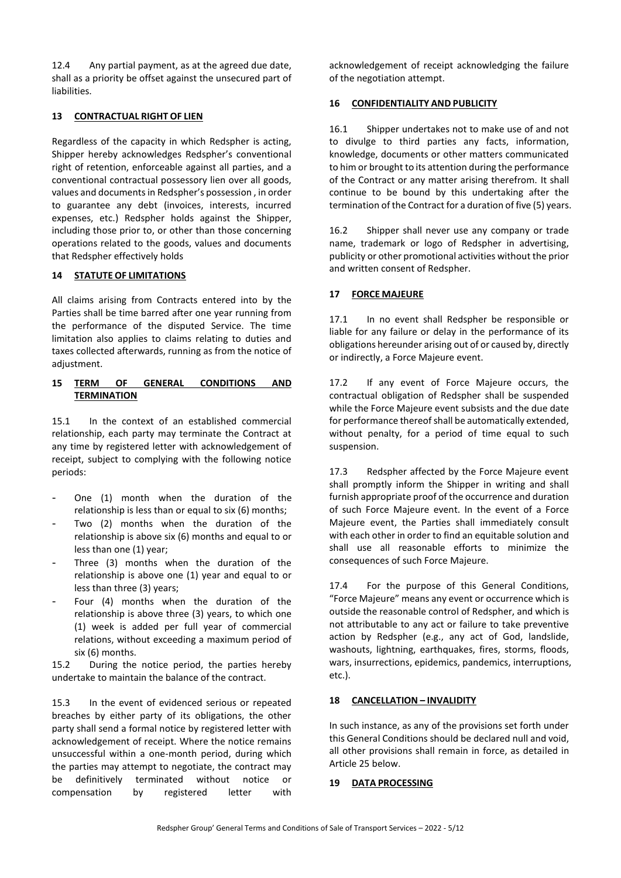12.4 Any partial payment, as at the agreed due date, shall as a priority be offset against the unsecured part of liabilities.

# **13 CONTRACTUAL RIGHT OF LIEN**

Regardless of the capacity in which Redspher is acting, Shipper hereby acknowledges Redspher's conventional right of retention, enforceable against all parties, and a conventional contractual possessory lien over all goods, values and documents in Redspher's possession , in order to guarantee any debt (invoices, interests, incurred expenses, etc.) Redspher holds against the Shipper, including those prior to, or other than those concerning operations related to the goods, values and documents that Redspher effectively holds

# **14 STATUTE OF LIMITATIONS**

All claims arising from Contracts entered into by the Parties shall be time barred after one year running from the performance of the disputed Service. The time limitation also applies to claims relating to duties and taxes collected afterwards, running as from the notice of adjustment.

## **15 TERM OF GENERAL CONDITIONS AND TERMINATION**

15.1 In the context of an established commercial relationship, each party may terminate the Contract at any time by registered letter with acknowledgement of receipt, subject to complying with the following notice periods:

- One (1) month when the duration of the relationship is less than or equal to six (6) months;
- Two (2) months when the duration of the relationship is above six (6) months and equal to or less than one (1) year;
- Three (3) months when the duration of the relationship is above one (1) year and equal to or less than three (3) years;
- Four (4) months when the duration of the relationship is above three (3) years, to which one (1) week is added per full year of commercial relations, without exceeding a maximum period of six (6) months.

15.2 During the notice period, the parties hereby undertake to maintain the balance of the contract.

15.3 In the event of evidenced serious or repeated breaches by either party of its obligations, the other party shall send a formal notice by registered letter with acknowledgement of receipt. Where the notice remains unsuccessful within a one-month period, during which the parties may attempt to negotiate, the contract may be definitively terminated without notice or compensation by registered letter with

acknowledgement of receipt acknowledging the failure of the negotiation attempt.

# **16 CONFIDENTIALITY AND PUBLICITY**

16.1 Shipper undertakes not to make use of and not to divulge to third parties any facts, information, knowledge, documents or other matters communicated to him or brought to its attention during the performance of the Contract or any matter arising therefrom. It shall continue to be bound by this undertaking after the termination of the Contract for a duration of five (5) years.

16.2 Shipper shall never use any company or trade name, trademark or logo of Redspher in advertising, publicity or other promotional activities without the prior and written consent of Redspher.

# <span id="page-4-0"></span>**17 FORCE MAJEURE**

17.1 In no event shall Redspher be responsible or liable for any failure or delay in the performance of its obligations hereunder arising out of or caused by, directly or indirectly, a Force Majeure event.

17.2 If any event of Force Majeure occurs, the contractual obligation of Redspher shall be suspended while the Force Majeure event subsists and the due date for performance thereof shall be automatically extended, without penalty, for a period of time equal to such suspension.

17.3 Redspher affected by the Force Majeure event shall promptly inform the Shipper in writing and shall furnish appropriate proof of the occurrence and duration of such Force Majeure event. In the event of a Force Majeure event, the Parties shall immediately consult with each other in order to find an equitable solution and shall use all reasonable efforts to minimize the consequences of such Force Majeure.

17.4 For the purpose of this General Conditions, "Force Majeure" means any event or occurrence which is outside the reasonable control of Redspher, and which is not attributable to any act or failure to take preventive action by Redspher (e.g., any act of God, landslide, washouts, lightning, earthquakes, fires, storms, floods, wars, insurrections, epidemics, pandemics, interruptions, etc.).

# **18 CANCELLATION – INVALIDITY**

In such instance, as any of the provisions set forth under this General Conditions should be declared null and void, all other provisions shall remain in force, as detailed in Articl[e 25](#page-5-1) below.

## **19 DATA PROCESSING**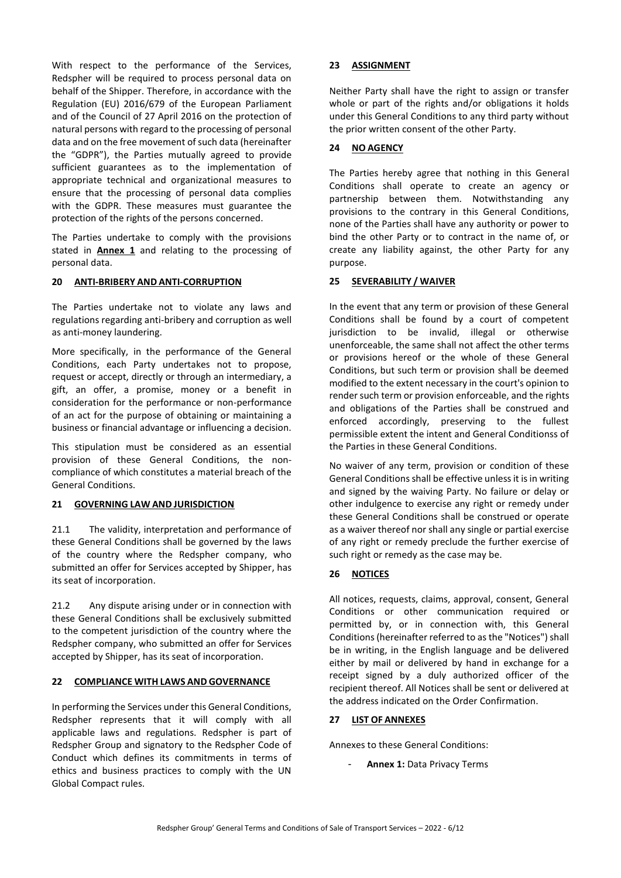With respect to the performance of the Services, Redspher will be required to process personal data on behalf of the Shipper. Therefore, in accordance with the Regulation (EU) 2016/679 of the European Parliament and of the Council of 27 April 2016 on the protection of natural persons with regard to the processing of personal data and on the free movement of such data (hereinafter the "GDPR"), the Parties mutually agreed to provide sufficient guarantees as to the implementation of appropriate technical and organizational measures to ensure that the processing of personal data complies with the GDPR. These measures must guarantee the protection of the rights of the persons concerned.

The Parties undertake to comply with the provisions stated in **Annex 1** and relating to the processing of personal data.

## **20 ANTI-BRIBERY AND ANTI-CORRUPTION**

The Parties undertake not to violate any laws and regulations regarding anti-bribery and corruption as well as anti-money laundering.

More specifically, in the performance of the General Conditions, each Party undertakes not to propose, request or accept, directly or through an intermediary, a gift, an offer, a promise, money or a benefit in consideration for the performance or non-performance of an act for the purpose of obtaining or maintaining a business or financial advantage or influencing a decision.

This stipulation must be considered as an essential provision of these General Conditions, the noncompliance of which constitutes a material breach of the General Conditions.

#### **21 GOVERNING LAW AND JURISDICTION**

21.1 The validity, interpretation and performance of these General Conditions shall be governed by the laws of the country where the Redspher company, who submitted an offer for Services accepted by Shipper, has its seat of incorporation.

21.2 Any dispute arising under or in connection with these General Conditions shall be exclusively submitted to the competent jurisdiction of the country where the Redspher company, who submitted an offer for Services accepted by Shipper, has its seat of incorporation.

## **22 COMPLIANCE WITH LAWS AND GOVERNANCE**

In performing the Services under this General Conditions, Redspher represents that it will comply with all applicable laws and regulations. Redspher is part of Redspher Group and signatory to the Redspher Code of Conduct which defines its commitments in terms of ethics and business practices to comply with the UN Global Compact rules.

## **23 ASSIGNMENT**

Neither Party shall have the right to assign or transfer whole or part of the rights and/or obligations it holds under this General Conditions to any third party without the prior written consent of the other Party.

### **24 NO AGENCY**

The Parties hereby agree that nothing in this General Conditions shall operate to create an agency or partnership between them. Notwithstanding any provisions to the contrary in this General Conditions, none of the Parties shall have any authority or power to bind the other Party or to contract in the name of, or create any liability against, the other Party for any purpose.

### <span id="page-5-1"></span>**25 SEVERABILITY / WAIVER**

In the event that any term or provision of these General Conditions shall be found by a court of competent jurisdiction to be invalid, illegal or otherwise unenforceable, the same shall not affect the other terms or provisions hereof or the whole of these General Conditions, but such term or provision shall be deemed modified to the extent necessary in the court's opinion to render such term or provision enforceable, and the rights and obligations of the Parties shall be construed and enforced accordingly, preserving to the fullest permissible extent the intent and General Conditionss of the Parties in these General Conditions.

No waiver of any term, provision or condition of these General Conditions shall be effective unless it is in writing and signed by the waiving Party. No failure or delay or other indulgence to exercise any right or remedy under these General Conditions shall be construed or operate as a waiver thereof nor shall any single or partial exercise of any right or remedy preclude the further exercise of such right or remedy as the case may be.

## **26 NOTICES**

All notices, requests, claims, approval, consent, General Conditions or other communication required or permitted by, or in connection with, this General Conditions (hereinafter referred to as the "Notices") shall be in writing, in the English language and be delivered either by mail or delivered by hand in exchange for a receipt signed by a duly authorized officer of the recipient thereof. All Notices shall be sent or delivered at the address indicated on the Order Confirmation.

#### <span id="page-5-0"></span>**27 LIST OF ANNEXES**

Annexes to these General Conditions:

Annex 1: Data Privacy Terms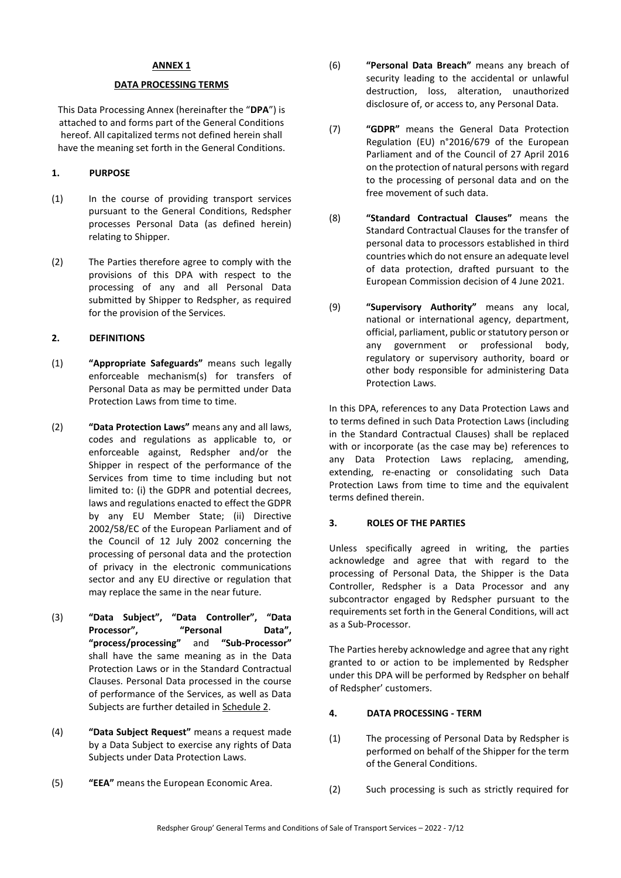### **ANNEX 1**

#### **DATA PROCESSING TERMS**

This Data Processing Annex (hereinafter the "**DPA**") is attached to and forms part of the General Conditions hereof. All capitalized terms not defined herein shall have the meaning set forth in the General Conditions.

#### **1. PURPOSE**

- (1) In the course of providing transport services pursuant to the General Conditions, Redspher processes Personal Data (as defined herein) relating to Shipper.
- (2) The Parties therefore agree to comply with the provisions of this DPA with respect to the processing of any and all Personal Data submitted by Shipper to Redspher, as required for the provision of the Services.

# **2. DEFINITIONS**

- (1) **"Appropriate Safeguards"** means such legally enforceable mechanism(s) for transfers of Personal Data as may be permitted under Data Protection Laws from time to time.
- (2) **"Data Protection Laws"** means any and all laws, codes and regulations as applicable to, or enforceable against, Redspher and/or the Shipper in respect of the performance of the Services from time to time including but not limited to: (i) the GDPR and potential decrees, laws and regulations enacted to effect the GDPR by any EU Member State; (ii) Directive 2002/58/EC of the European Parliament and of the Council of 12 July 2002 concerning the processing of personal data and the protection of privacy in the electronic communications sector and any EU directive or regulation that may replace the same in the near future.
- (3) **"Data Subject", "Data Controller", "Data**  Processor", "Personal Data", **"process/processing"** and **"Sub-Processor"** shall have the same meaning as in the Data Protection Laws or in the Standard Contractual Clauses. Personal Data processed in the course of performance of the Services, as well as Data Subjects are further detailed in Schedule 2.
- (4) **"Data Subject Request"** means a request made by a Data Subject to exercise any rights of Data Subjects under Data Protection Laws.
- (5) **"EEA"** means the European Economic Area.
- (6) **"Personal Data Breach"** means any breach of security leading to the accidental or unlawful destruction, loss, alteration, unauthorized disclosure of, or access to, any Personal Data.
- (7) **"GDPR"** means the General Data Protection Regulation (EU) n°2016/679 of the European Parliament and of the Council of 27 April 2016 on the protection of natural persons with regard to the processing of personal data and on the free movement of such data.
- (8) **"Standard Contractual Clauses"** means the Standard Contractual Clauses for the transfer of personal data to processors established in third countries which do not ensure an adequate level of data protection, drafted pursuant to the European Commission decision of 4 June 2021.
- (9) **"Supervisory Authority"** means any local, national or international agency, department, official, parliament, public or statutory person or any government or professional body, regulatory or supervisory authority, board or other body responsible for administering Data Protection Laws.

In this DPA, references to any Data Protection Laws and to terms defined in such Data Protection Laws (including in the Standard Contractual Clauses) shall be replaced with or incorporate (as the case may be) references to any Data Protection Laws replacing, amending, extending, re-enacting or consolidating such Data Protection Laws from time to time and the equivalent terms defined therein.

#### **3. ROLES OF THE PARTIES**

Unless specifically agreed in writing, the parties acknowledge and agree that with regard to the processing of Personal Data, the Shipper is the Data Controller, Redspher is a Data Processor and any subcontractor engaged by Redspher pursuant to the requirements set forth in the General Conditions, will act as a Sub-Processor.

The Parties hereby acknowledge and agree that any right granted to or action to be implemented by Redspher under this DPA will be performed by Redspher on behalf of Redspher' customers.

#### **4. DATA PROCESSING - TERM**

- (1) The processing of Personal Data by Redspher is performed on behalf of the Shipper for the term of the General Conditions.
- (2) Such processing is such as strictly required for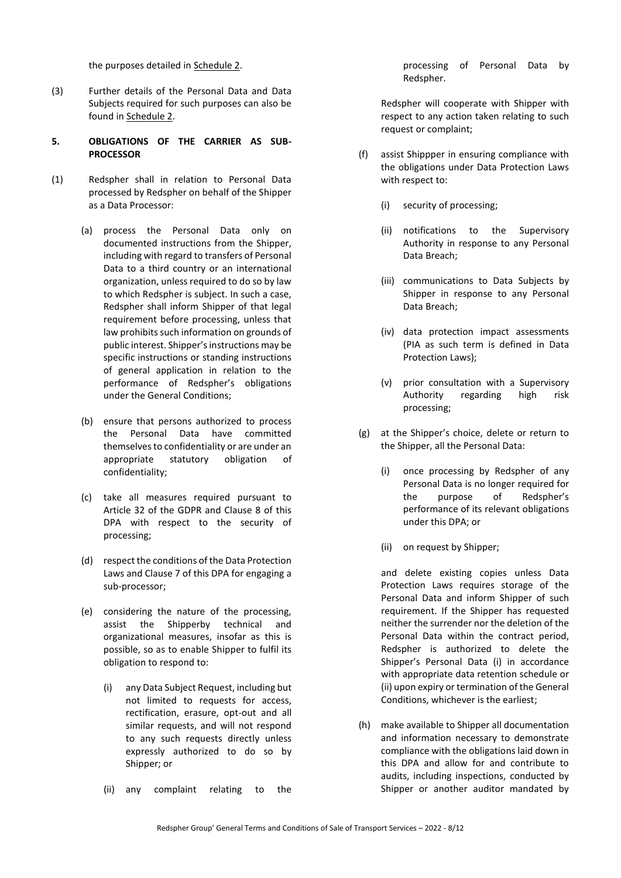the purposes detailed in Schedule 2.

- (3) Further details of the Personal Data and Data Subjects required for such purposes can also be found in Schedule 2.
- **5. OBLIGATIONS OF THE CARRIER AS SUB-PROCESSOR**
- (1) Redspher shall in relation to Personal Data processed by Redspher on behalf of the Shipper as a Data Processor:
	- (a) process the Personal Data only on documented instructions from the Shipper, including with regard to transfers of Personal Data to a third country or an international organization, unless required to do so by law to which Redspher is subject. In such a case, Redspher shall inform Shipper of that legal requirement before processing, unless that law prohibits such information on grounds of public interest. Shipper's instructions may be specific instructions or standing instructions of general application in relation to the performance of Redspher's obligations under the General Conditions;
	- (b) ensure that persons authorized to process the Personal Data have committed themselves to confidentiality or are under an appropriate statutory obligation of confidentiality;
	- (c) take all measures required pursuant to Article 32 of the GDPR and Clause 8 of this DPA with respect to the security of processing;
	- (d) respect the conditions of the Data Protection Laws and Clause 7 of this DPA for engaging a sub-processor;
	- (e) considering the nature of the processing, assist the Shipperby technical and organizational measures, insofar as this is possible, so as to enable Shipper to fulfil its obligation to respond to:
		- (i) any Data Subject Request, including but not limited to requests for access, rectification, erasure, opt-out and all similar requests, and will not respond to any such requests directly unless expressly authorized to do so by Shipper; or
		- (ii) any complaint relating to the

processing of Personal Data by Redspher.

Redspher will cooperate with Shipper with respect to any action taken relating to such request or complaint;

- (f) assist Shippper in ensuring compliance with the obligations under Data Protection Laws with respect to:
	- (i) security of processing;
	- (ii) notifications to the Supervisory Authority in response to any Personal Data Breach;
	- (iii) communications to Data Subjects by Shipper in response to any Personal Data Breach;
	- (iv) data protection impact assessments (PIA as such term is defined in Data Protection Laws);
	- (v) prior consultation with a Supervisory Authority regarding high risk processing;
- (g) at the Shipper's choice, delete or return to the Shipper, all the Personal Data:
	- (i) once processing by Redspher of any Personal Data is no longer required for the purpose of Redspher's performance of its relevant obligations under this DPA; or
	- (ii) on request by Shipper;

and delete existing copies unless Data Protection Laws requires storage of the Personal Data and inform Shipper of such requirement. If the Shipper has requested neither the surrender nor the deletion of the Personal Data within the contract period, Redspher is authorized to delete the Shipper's Personal Data (i) in accordance with appropriate data retention schedule or (ii) upon expiry or termination of the General Conditions, whichever is the earliest;

(h) make available to Shipper all documentation and information necessary to demonstrate compliance with the obligations laid down in this DPA and allow for and contribute to audits, including inspections, conducted by Shipper or another auditor mandated by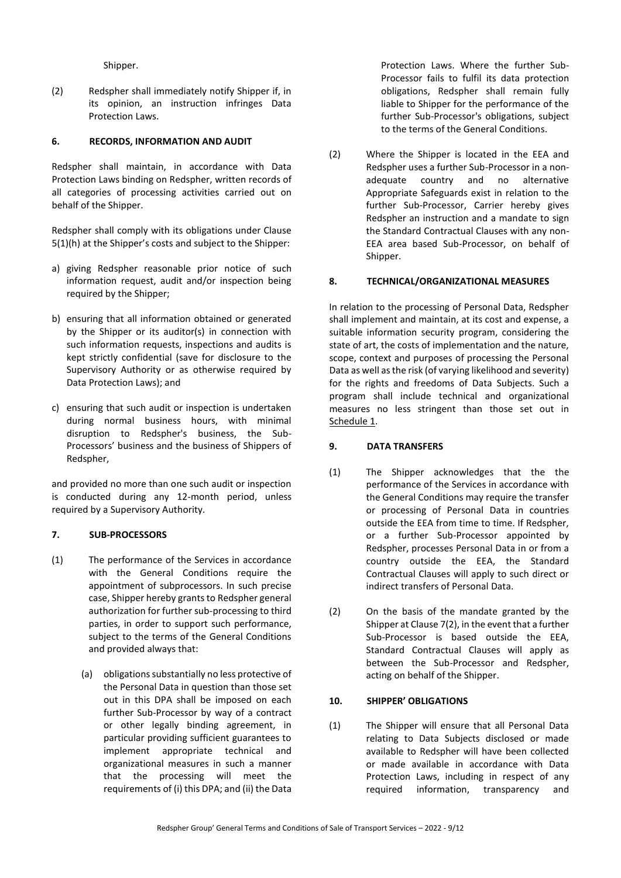Shipper.

(2) Redspher shall immediately notify Shipper if, in its opinion, an instruction infringes Data Protection Laws.

### **6. RECORDS, INFORMATION AND AUDIT**

Redspher shall maintain, in accordance with Data Protection Laws binding on Redspher, written records of all categories of processing activities carried out on behalf of the Shipper.

Redspher shall comply with its obligations under Clause 5(1)(h) at the Shipper's costs and subject to the Shipper:

- a) giving Redspher reasonable prior notice of such information request, audit and/or inspection being required by the Shipper;
- b) ensuring that all information obtained or generated by the Shipper or its auditor(s) in connection with such information requests, inspections and audits is kept strictly confidential (save for disclosure to the Supervisory Authority or as otherwise required by Data Protection Laws); and
- c) ensuring that such audit or inspection is undertaken during normal business hours, with minimal disruption to Redspher's business, the Sub-Processors' business and the business of Shippers of Redspher,

and provided no more than one such audit or inspection is conducted during any 12-month period, unless required by a Supervisory Authority.

## **7. SUB-PROCESSORS**

- (1) The performance of the Services in accordance with the General Conditions require the appointment of subprocessors. In such precise case, Shipper hereby grants to Redspher general authorization for further sub-processing to third parties, in order to support such performance, subject to the terms of the General Conditions and provided always that:
	- (a) obligations substantially no less protective of the Personal Data in question than those set out in this DPA shall be imposed on each further Sub-Processor by way of a contract or other legally binding agreement, in particular providing sufficient guarantees to implement appropriate technical and organizational measures in such a manner that the processing will meet the requirements of (i) this DPA; and (ii) the Data

Protection Laws. Where the further Sub-Processor fails to fulfil its data protection obligations, Redspher shall remain fully liable to Shipper for the performance of the further Sub-Processor's obligations, subject to the terms of the General Conditions.

<span id="page-8-0"></span>(2) Where the Shipper is located in the EEA and Redspher uses a further Sub-Processor in a nonadequate country and no alternative Appropriate Safeguards exist in relation to the further Sub-Processor, Carrier hereby gives Redspher an instruction and a mandate to sign the Standard Contractual Clauses with any non-EEA area based Sub-Processor, on behalf of Shipper.

### **8. TECHNICAL/ORGANIZATIONAL MEASURES**

In relation to the processing of Personal Data, Redspher shall implement and maintain, at its cost and expense, a suitable information security program, considering the state of art, the costs of implementation and the nature, scope, context and purposes of processing the Personal Data as well as the risk (of varying likelihood and severity) for the rights and freedoms of Data Subjects. Such a program shall include technical and organizational measures no less stringent than those set out in Schedule 1.

#### **9. DATA TRANSFERS**

- (1) The Shipper acknowledges that the the performance of the Services in accordance with the General Conditions may require the transfer or processing of Personal Data in countries outside the EEA from time to time. If Redspher, or a further Sub-Processor appointed by Redspher, processes Personal Data in or from a country outside the EEA, the Standard Contractual Clauses will apply to such direct or indirect transfers of Personal Data.
- (2) On the basis of the mandate granted by the Shipper at Claus[e 7\(2\),](#page-8-0) in the event that a further Sub-Processor is based outside the EEA, Standard Contractual Clauses will apply as between the Sub-Processor and Redspher, acting on behalf of the Shipper.

# **10. SHIPPER' OBLIGATIONS**

(1) The Shipper will ensure that all Personal Data relating to Data Subjects disclosed or made available to Redspher will have been collected or made available in accordance with Data Protection Laws, including in respect of any required information, transparency and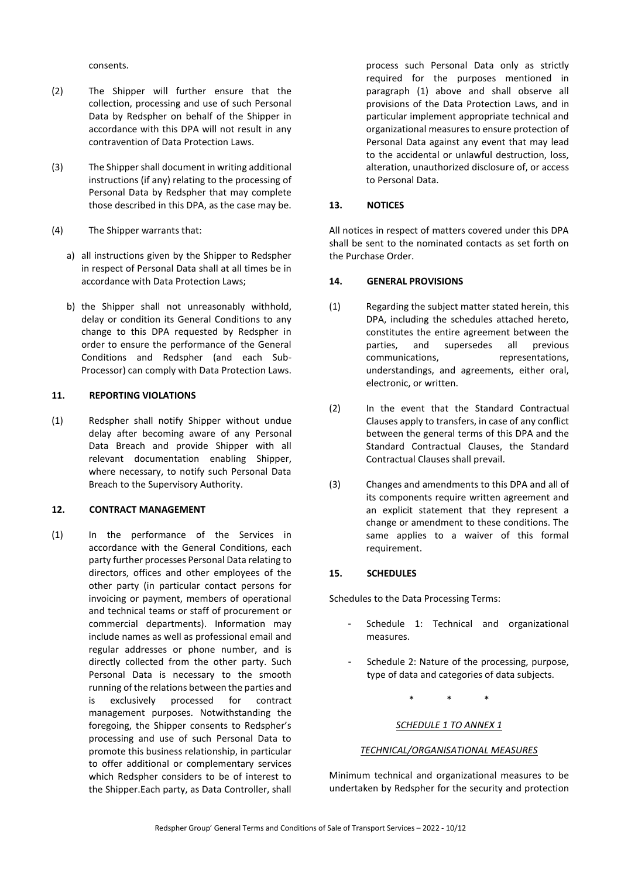consents.

- (2) The Shipper will further ensure that the collection, processing and use of such Personal Data by Redspher on behalf of the Shipper in accordance with this DPA will not result in any contravention of Data Protection Laws.
- (3) The Shipper shall document in writing additional instructions (if any) relating to the processing of Personal Data by Redspher that may complete those described in this DPA, as the case may be.
- (4) The Shipper warrants that:
	- a) all instructions given by the Shipper to Redspher in respect of Personal Data shall at all times be in accordance with Data Protection Laws;
	- b) the Shipper shall not unreasonably withhold, delay or condition its General Conditions to any change to this DPA requested by Redspher in order to ensure the performance of the General Conditions and Redspher (and each Sub-Processor) can comply with Data Protection Laws.

### **11. REPORTING VIOLATIONS**

(1) Redspher shall notify Shipper without undue delay after becoming aware of any Personal Data Breach and provide Shipper with all relevant documentation enabling Shipper, where necessary, to notify such Personal Data Breach to the Supervisory Authority.

### **12. CONTRACT MANAGEMENT**

(1) In the performance of the Services in accordance with the General Conditions, each party further processes Personal Data relating to directors, offices and other employees of the other party (in particular contact persons for invoicing or payment, members of operational and technical teams or staff of procurement or commercial departments). Information may include names as well as professional email and regular addresses or phone number, and is directly collected from the other party. Such Personal Data is necessary to the smooth running of the relations between the parties and is exclusively processed for contract management purposes. Notwithstanding the foregoing, the Shipper consents to Redspher's processing and use of such Personal Data to promote this business relationship, in particular to offer additional or complementary services which Redspher considers to be of interest to the Shipper.Each party, as Data Controller, shall

process such Personal Data only as strictly required for the purposes mentioned in paragraph (1) above and shall observe all provisions of the Data Protection Laws, and in particular implement appropriate technical and organizational measures to ensure protection of Personal Data against any event that may lead to the accidental or unlawful destruction, loss, alteration, unauthorized disclosure of, or access to Personal Data.

### **13. NOTICES**

All notices in respect of matters covered under this DPA shall be sent to the nominated contacts as set forth on the Purchase Order.

### **14. GENERAL PROVISIONS**

- (1) Regarding the subject matter stated herein, this DPA, including the schedules attached hereto, constitutes the entire agreement between the parties, and supersedes all previous communications, representations, understandings, and agreements, either oral, electronic, or written.
- (2) In the event that the Standard Contractual Clauses apply to transfers, in case of any conflict between the general terms of this DPA and the Standard Contractual Clauses, the Standard Contractual Clauses shall prevail.
- (3) Changes and amendments to this DPA and all of its components require written agreement and an explicit statement that they represent a change or amendment to these conditions. The same applies to a waiver of this formal requirement.

## **15. SCHEDULES**

Schedules to the Data Processing Terms:

- Schedule 1: Technical and organizational measures.
- Schedule 2: Nature of the processing, purpose, type of data and categories of data subjects.

\* \* \*

#### *SCHEDULE 1 TO ANNEX 1*

#### *TECHNICAL/ORGANISATIONAL MEASURES*

Minimum technical and organizational measures to be undertaken by Redspher for the security and protection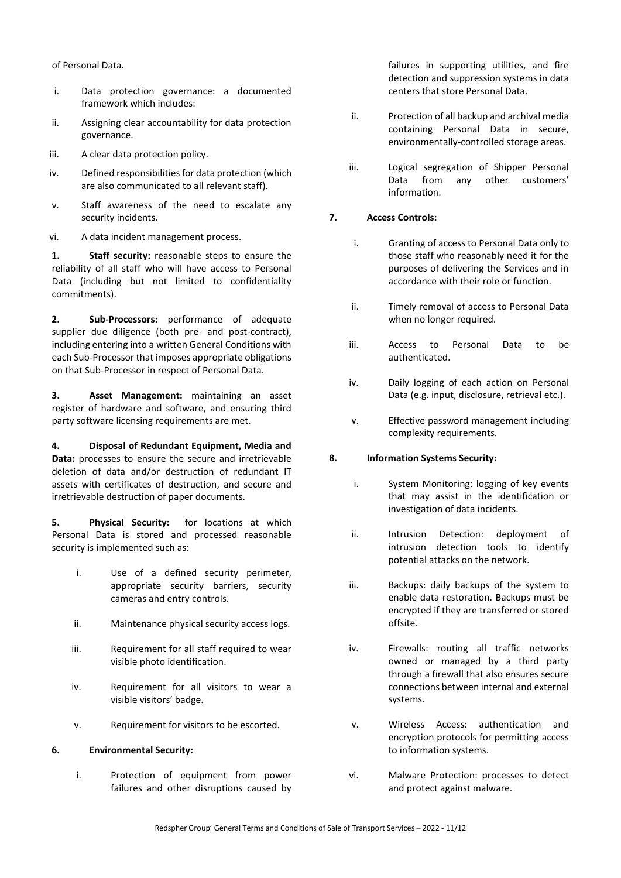of Personal Data.

- i. Data protection governance: a documented framework which includes:
- ii. Assigning clear accountability for data protection governance.
- iii. A clear data protection policy.
- iv. Defined responsibilities for data protection (which are also communicated to all relevant staff).
- v. Staff awareness of the need to escalate any security incidents.
- vi. A data incident management process.

**1. Staff security:** reasonable steps to ensure the reliability of all staff who will have access to Personal Data (including but not limited to confidentiality commitments).

**2. Sub-Processors:** performance of adequate supplier due diligence (both pre- and post-contract), including entering into a written General Conditions with each Sub-Processor that imposes appropriate obligations on that Sub-Processor in respect of Personal Data.

**3. Asset Management:** maintaining an asset register of hardware and software, and ensuring third party software licensing requirements are met.

**4. Disposal of Redundant Equipment, Media and Data:** processes to ensure the secure and irretrievable deletion of data and/or destruction of redundant IT assets with certificates of destruction, and secure and irretrievable destruction of paper documents.

**5. Physical Security:** for locations at which Personal Data is stored and processed reasonable security is implemented such as:

- i. Use of a defined security perimeter, appropriate security barriers, security cameras and entry controls.
- ii. Maintenance physical security access logs.
- iii. Requirement for all staff required to wear visible photo identification.
- iv. Requirement for all visitors to wear a visible visitors' badge.
- v. Requirement for visitors to be escorted.

## **6. Environmental Security:**

i. Protection of equipment from power failures and other disruptions caused by failures in supporting utilities, and fire detection and suppression systems in data centers that store Personal Data.

- ii. Protection of all backup and archival media containing Personal Data in secure, environmentally-controlled storage areas.
- iii. Logical segregation of Shipper Personal Data from any other customers' information.

# **7. Access Controls:**

- i. Granting of access to Personal Data only to those staff who reasonably need it for the purposes of delivering the Services and in accordance with their role or function.
- ii. Timely removal of access to Personal Data when no longer required.
- iii. Access to Personal Data to be authenticated.
- iv. Daily logging of each action on Personal Data (e.g. input, disclosure, retrieval etc.).
- v. Effective password management including complexity requirements.

## **8. Information Systems Security:**

- i. System Monitoring: logging of key events that may assist in the identification or investigation of data incidents.
- ii. Intrusion Detection: deployment of intrusion detection tools to identify potential attacks on the network.
- iii. Backups: daily backups of the system to enable data restoration. Backups must be encrypted if they are transferred or stored offsite.
- iv. Firewalls: routing all traffic networks owned or managed by a third party through a firewall that also ensures secure connections between internal and external systems.
- v. Wireless Access: authentication and encryption protocols for permitting access to information systems.
- vi. Malware Protection: processes to detect and protect against malware.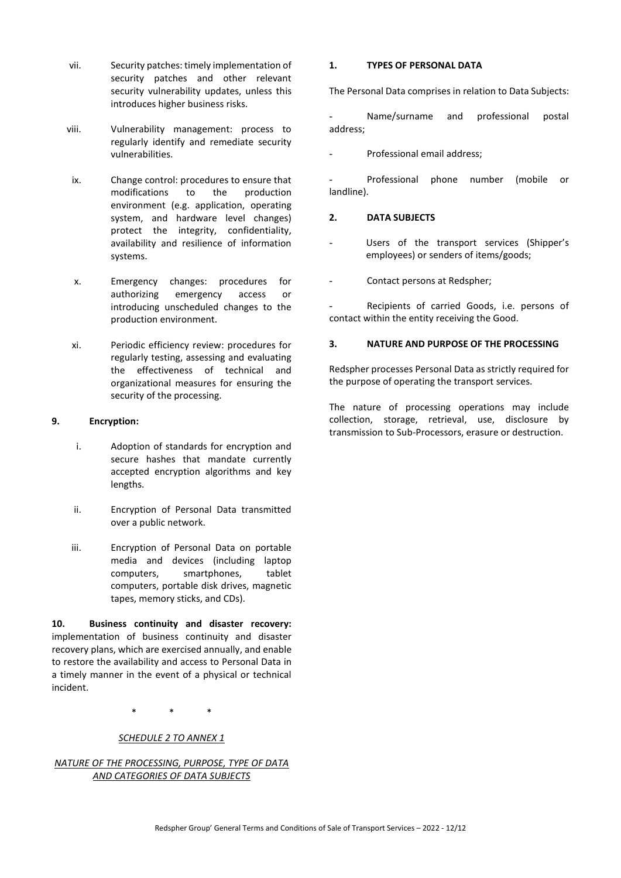- vii. Security patches: timely implementation of security patches and other relevant security vulnerability updates, unless this introduces higher business risks.
- viii. Vulnerability management: process to regularly identify and remediate security vulnerabilities.
- ix. Change control: procedures to ensure that modifications to the production environment (e.g. application, operating system, and hardware level changes) protect the integrity, confidentiality, availability and resilience of information systems.
- x. Emergency changes: procedures for authorizing emergency access or introducing unscheduled changes to the production environment.
- xi. Periodic efficiency review: procedures for regularly testing, assessing and evaluating the effectiveness of technical and organizational measures for ensuring the security of the processing.

### **9. Encryption:**

- i. Adoption of standards for encryption and secure hashes that mandate currently accepted encryption algorithms and key lengths.
- ii. Encryption of Personal Data transmitted over a public network.
- iii. Encryption of Personal Data on portable media and devices (including laptop computers, smartphones, tablet computers, portable disk drives, magnetic tapes, memory sticks, and CDs).

**10. Business continuity and disaster recovery:**  implementation of business continuity and disaster recovery plans, which are exercised annually, and enable to restore the availability and access to Personal Data in a timely manner in the event of a physical or technical incident.

\* \* \*

## *SCHEDULE 2 TO ANNEX 1*

*NATURE OF THE PROCESSING, PURPOSE, TYPE OF DATA AND CATEGORIES OF DATA SUBJECTS*

#### **1. TYPES OF PERSONAL DATA**

The Personal Data comprises in relation to Data Subjects:

Name/surname and professional postal address;

Professional email address:

Professional phone number (mobile or landline).

# **2. DATA SUBJECTS**

- Users of the transport services (Shipper's employees) or senders of items/goods;
- Contact persons at Redspher;

Recipients of carried Goods, i.e. persons of contact within the entity receiving the Good.

## **3. NATURE AND PURPOSE OF THE PROCESSING**

Redspher processes Personal Data as strictly required for the purpose of operating the transport services.

The nature of processing operations may include collection, storage, retrieval, use, disclosure by transmission to Sub-Processors, erasure or destruction.